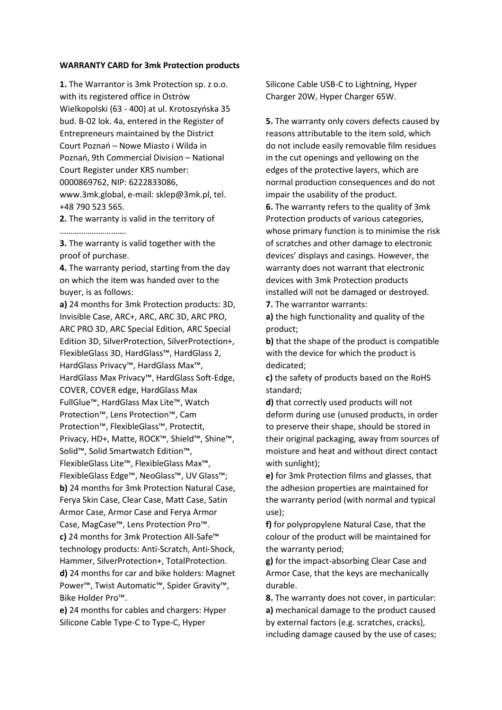## **WARRANTY CARD for 3mk Protection products**

**1.** The Warrantor is 3mk Protection sp. z o.o. with its registered office in Ostrów Wielkopolski (63 - 400) at ul. Krotoszyńska 35 bud. B-02 lok. 4a, entered in the Register of Entrepreneurs maintained by the District Court Poznań – Nowe Miasto i Wilda in Poznań, 9th Commercial Division – National Court Register under KRS number: 0000869762, NIP: 6222833086, www.3mk.global, e-mail: sklep@3mk.pl, tel. +48 790 523 565.

**2.** The warranty is valid in the territory of …………………………

**3.** The warranty is valid together with the proof of purchase.

**4.** The warranty period, starting from the day on which the item was handed over to the buyer, is as follows:

**a)** 24 months for 3mk Protection products: 3D, Invisible Case, ARC+, ARC, ARC 3D, ARC PRO, ARC PRO 3D, ARC Special Edition, ARC Special Edition 3D, SilverProtection, SilverProtection+, FlexibleGlass 3D, HardGlass™, HardGlass 2, HardGlass Privacy™, HardGlass Max™, HardGlass Max Privacy™, HardGlass Soft-Edge, COVER, COVER edge, HardGlass Max FullGlue™, HardGlass Max Lite™, Watch Protection™, Lens Protection™, Cam Protection™, FlexibleGlass™, Protectit, Privacy, HD+, Matte, ROCK™, Shield™, Shine™, Solid™, Solid Smartwatch Edition™, FlexibleGlass Lite™, FlexibleGlass Max™, FlexibleGlass Edge™, NeoGlass™, UV Glass™; **b)** 24 months for 3mk Protection Natural Case, Ferya Skin Case, Clear Case, Matt Case, Satin Armor Case, Armor Case and Ferya Armor Case, MagCase™, Lens Protection Pro™. **c)** 24 months for 3mk Protection All-Safe™ technology products: Anti-Scratch, Anti-Shock, Hammer, SilverProtection+, TotalProtection. **d)** 24 months for car and bike holders: Magnet Power™, Twist Automatic™, Spider Gravity™, Bike Holder Pro™.

**e)** 24 months for cables and chargers: Hyper Silicone Cable Type-C to Type-C, Hyper

Silicone Cable USB-C to Lightning, Hyper Charger 20W, Hyper Charger 65W.

**5.** The warranty only covers defects caused by reasons attributable to the item sold, which do not include easily removable film residues in the cut openings and yellowing on the edges of the protective layers, which are normal production consequences and do not impair the usability of the product.

**6.** The warranty refers to the quality of 3mk Protection products of various categories, whose primary function is to minimise the risk of scratches and other damage to electronic devices' displays and casings. However, the warranty does not warrant that electronic devices with 3mk Protection products installed will not be damaged or destroyed. **7.** The warrantor warrants:

**a)** the high functionality and quality of the product;

**b)** that the shape of the product is compatible with the device for which the product is dedicated;

**c)** the safety of products based on the RoHS standard;

**d)** that correctly used products will not deform during use (unused products, in order to preserve their shape, should be stored in their original packaging, away from sources of moisture and heat and without direct contact with sunlight);

**e)** for 3mk Protection films and glasses, that the adhesion properties are maintained for the warranty period (with normal and typical use);

**f)** for polypropylene Natural Case, that the colour of the product will be maintained for the warranty period;

**g)** for the impact-absorbing Clear Case and Armor Case, that the keys are mechanically durable.

**8.** The warranty does not cover, in particular: **a)** mechanical damage to the product caused by external factors (e.g. scratches, cracks), including damage caused by the use of cases;